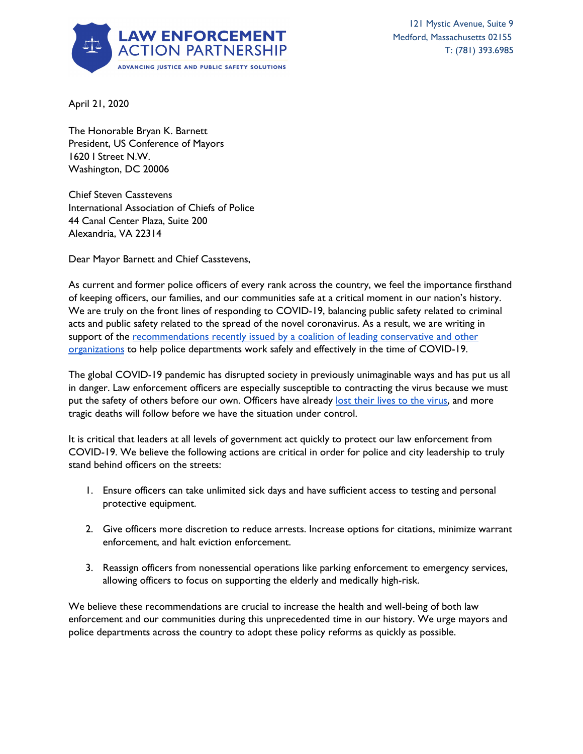

April 21, 2020

The Honorable Bryan K. Barnett President, US Conference of Mayors 1620 I Street N.W. Washington, DC 20006

Chief Steven Casstevens International Association of Chiefs of Police 44 Canal Center Plaza, Suite 200 Alexandria, VA 22314

Dear Mayor Barnett and Chief Casstevens,

As current and former police officers of every rank across the country, we feel the importance firsthand of keeping officers, our families, and our communities safe at a critical moment in our nation's history. We are truly on the front lines of responding to COVID-19, balancing public safety related to criminal acts and public safety related to the spread of the novel coronavirus. As a result, we are writing in support of the [recommendations](http://reformalliance.com/wp-content/uploads/2020/04/4.7.20-Letter-to-Natl-Conf-of-Mayors-and-IACP.pdf) recently issued by a coalition of leading conservative and other [organizations](http://reformalliance.com/wp-content/uploads/2020/04/4.7.20-Letter-to-Natl-Conf-of-Mayors-and-IACP.pdf) to help police departments work safely and effectively in the time of COVID-19.

The global COVID-19 pandemic has disrupted society in previously unimaginable ways and has put us all in danger. Law enforcement officers are especially susceptible to contracting the virus because we must put the safety of others before our own. Officers have already lost their lives to the [virus](https://www.policeone.com/coronavirus-covid-19/articles/covid-19-law-enforcement-deaths-3ftkdPnVffq55iHU/), and more tragic deaths will follow before we have the situation under control.

It is critical that leaders at all levels of government act quickly to protect our law enforcement from COVID-19. We believe the following actions are critical in order for police and city leadership to truly stand behind officers on the streets:

- 1. Ensure officers can take unlimited sick days and have sufficient access to testing and personal protective equipment.
- 2. Give officers more discretion to reduce arrests. Increase options for citations, minimize warrant enforcement, and halt eviction enforcement.
- 3. Reassign officers from nonessential operations like parking enforcement to emergency services, allowing officers to focus on supporting the elderly and medically high-risk.

We believe these recommendations are crucial to increase the health and well-being of both law enforcement and our communities during this unprecedented time in our history. We urge mayors and police departments across the country to adopt these policy reforms as quickly as possible.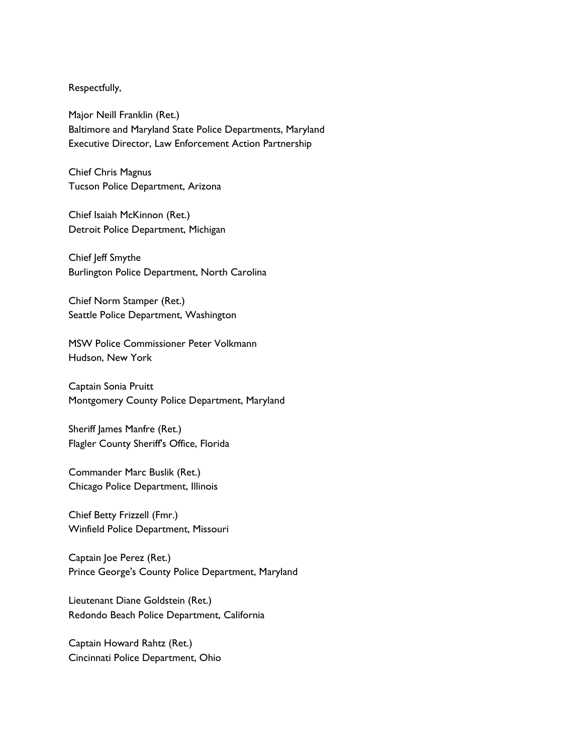## Respectfully,

Major Neill Franklin (Ret.) Baltimore and Maryland State Police Departments, Maryland Executive Director, Law Enforcement Action Partnership

Chief Chris Magnus Tucson Police Department, Arizona

Chief Isaiah McKinnon (Ret.) Detroit Police Department, Michigan

Chief Jeff Smythe Burlington Police Department, North Carolina

Chief Norm Stamper (Ret.) Seattle Police Department, Washington

MSW Police Commissioner Peter Volkmann Hudson, New York

Captain Sonia Pruitt Montgomery County Police Department, Maryland

Sheriff James Manfre (Ret.) Flagler County Sheriff's Office, Florida

Commander Marc Buslik (Ret.) Chicago Police Department, Illinois

Chief Betty Frizzell (Fmr.) Winfield Police Department, Missouri

Captain Joe Perez (Ret.) Prince George's County Police Department, Maryland

Lieutenant Diane Goldstein (Ret.) Redondo Beach Police Department, California

Captain Howard Rahtz (Ret.) Cincinnati Police Department, Ohio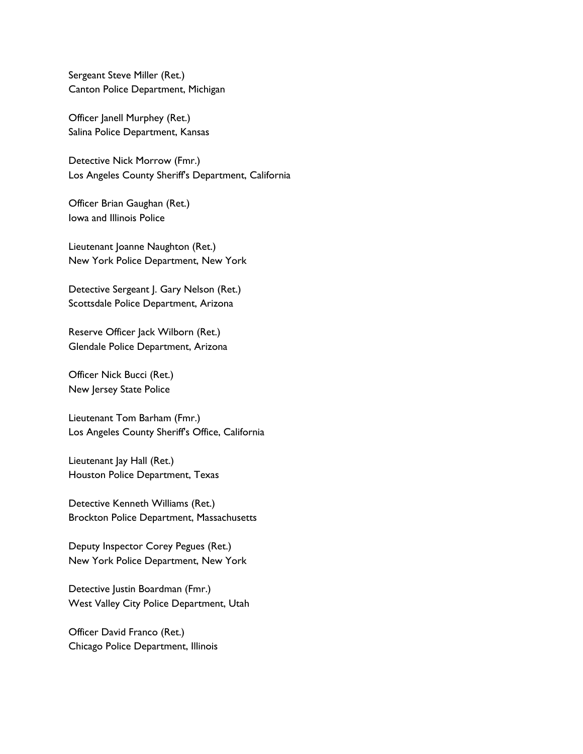Sergeant Steve Miller (Ret.) Canton Police Department, Michigan

Officer Janell Murphey (Ret.) Salina Police Department, Kansas

Detective Nick Morrow (Fmr.) Los Angeles County Sheriff's Department, California

Officer Brian Gaughan (Ret.) Iowa and Illinois Police

Lieutenant Joanne Naughton (Ret.) New York Police Department, New York

Detective Sergeant J. Gary Nelson (Ret.) Scottsdale Police Department, Arizona

Reserve Officer Jack Wilborn (Ret.) Glendale Police Department, Arizona

Officer Nick Bucci (Ret.) New Jersey State Police

Lieutenant Tom Barham (Fmr.) Los Angeles County Sheriff's Office, California

Lieutenant Jay Hall (Ret.) Houston Police Department, Texas

Detective Kenneth Williams (Ret.) Brockton Police Department, Massachusetts

Deputy Inspector Corey Pegues (Ret.) New York Police Department, New York

Detective Justin Boardman (Fmr.) West Valley City Police Department, Utah

Officer David Franco (Ret.) Chicago Police Department, Illinois